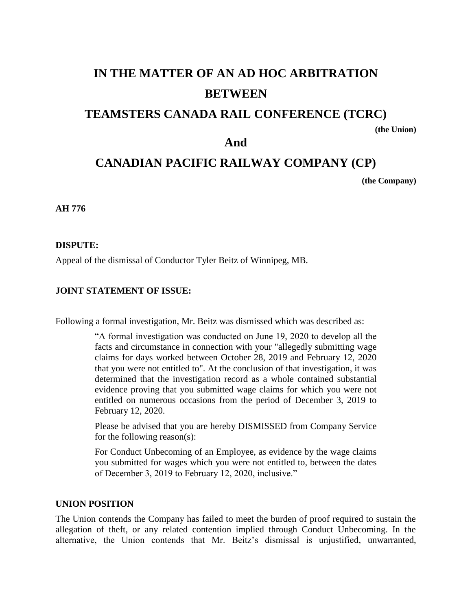# **IN THE MATTER OF AN AD HOC ARBITRATION BETWEEN**

# **TEAMSTERS CANADA RAIL CONFERENCE (TCRC)**

**(the Union)**

# **And**

# **CANADIAN PACIFIC RAILWAY COMPANY (CP)**

**(the Company)**

**AH 776**

# **DISPUTE:**

Appeal of the dismissal of Conductor Tyler Beitz of Winnipeg, MB.

# **JOINT STATEMENT OF ISSUE:**

Following a formal investigation, Mr. Beitz was dismissed which was described as:

"A formal investigation was conducted on June 19, 2020 to develop all the facts and circumstance in connection with your "allegedly submitting wage claims for days worked between October 28, 2019 and February 12, 2020 that you were not entitled to". At the conclusion of that investigation, it was determined that the investigation record as a whole contained substantial evidence proving that you submitted wage claims for which you were not entitled on numerous occasions from the period of December 3, 2019 to February 12, 2020.

Please be advised that you are hereby DISMISSED from Company Service for the following reason(s):

For Conduct Unbecoming of an Employee, as evidence by the wage claims you submitted for wages which you were not entitled to, between the dates of December 3, 2019 to February 12, 2020, inclusive."

## **UNION POSITION**

The Union contends the Company has failed to meet the burden of proof required to sustain the allegation of theft, or any related contention implied through Conduct Unbecoming. In the alternative, the Union contends that Mr. Beitz's dismissal is unjustified, unwarranted,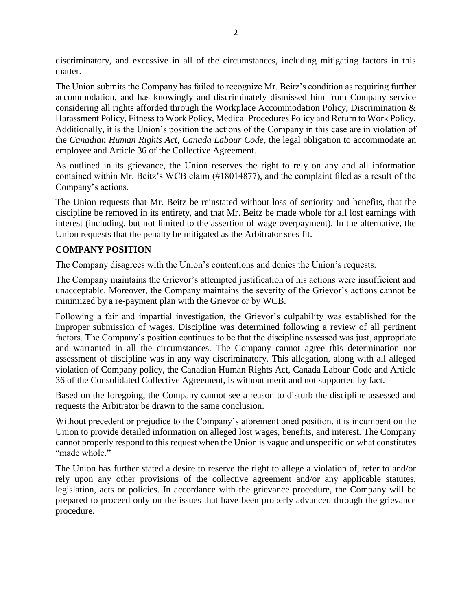discriminatory, and excessive in all of the circumstances, including mitigating factors in this matter.

The Union submits the Company has failed to recognize Mr. Beitz's condition as requiring further accommodation, and has knowingly and discriminately dismissed him from Company service considering all rights afforded through the Workplace Accommodation Policy, Discrimination & Harassment Policy, Fitness to Work Policy, Medical Procedures Policy and Return to Work Policy. Additionally, it is the Union's position the actions of the Company in this case are in violation of the *Canadian Human Rights Act*, *Canada Labour Code*, the legal obligation to accommodate an employee and Article 36 of the Collective Agreement.

As outlined in its grievance, the Union reserves the right to rely on any and all information contained within Mr. Beitz's WCB claim (#18014877), and the complaint filed as a result of the Company's actions.

The Union requests that Mr. Beitz be reinstated without loss of seniority and benefits, that the discipline be removed in its entirety, and that Mr. Beitz be made whole for all lost earnings with interest (including, but not limited to the assertion of wage overpayment). In the alternative, the Union requests that the penalty be mitigated as the Arbitrator sees fit.

# **COMPANY POSITION**

The Company disagrees with the Union's contentions and denies the Union's requests.

The Company maintains the Grievor's attempted justification of his actions were insufficient and unacceptable. Moreover, the Company maintains the severity of the Grievor's actions cannot be minimized by a re-payment plan with the Grievor or by WCB.

Following a fair and impartial investigation, the Grievor's culpability was established for the improper submission of wages. Discipline was determined following a review of all pertinent factors. The Company's position continues to be that the discipline assessed was just, appropriate and warranted in all the circumstances. The Company cannot agree this determination nor assessment of discipline was in any way discriminatory. This allegation, along with all alleged violation of Company policy, the Canadian Human Rights Act, Canada Labour Code and Article 36 of the Consolidated Collective Agreement, is without merit and not supported by fact.

Based on the foregoing, the Company cannot see a reason to disturb the discipline assessed and requests the Arbitrator be drawn to the same conclusion.

Without precedent or prejudice to the Company's aforementioned position, it is incumbent on the Union to provide detailed information on alleged lost wages, benefits, and interest. The Company cannot properly respond to this request when the Union is vague and unspecific on what constitutes "made whole."

The Union has further stated a desire to reserve the right to allege a violation of, refer to and/or rely upon any other provisions of the collective agreement and/or any applicable statutes, legislation, acts or policies. In accordance with the grievance procedure, the Company will be prepared to proceed only on the issues that have been properly advanced through the grievance procedure.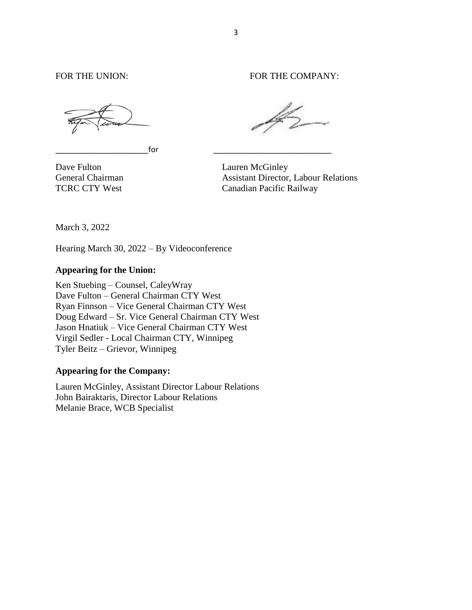\_\_\_\_\_\_\_\_\_\_\_\_\_\_\_\_\_\_\_\_\_\_for \_\_\_\_\_\_\_\_\_\_\_\_\_\_\_\_\_\_\_\_\_\_\_\_\_\_\_\_

FOR THE UNION: FOR THE COMPANY:

Dave Fulton Lauren McGinley General Chairman Assistant Director, Labour Relations TCRC CTY West Canadian Pacific Railway

March 3, 2022

Hearing March 30, 2022 – By Videoconference

# **Appearing for the Union:**

Ken Stuebing – Counsel, CaleyWray Dave Fulton – General Chairman CTY West Ryan Finnson – Vice General Chairman CTY West Doug Edward – Sr. Vice General Chairman CTY West Jason Hnatiuk – Vice General Chairman CTY West Virgil Sedler - Local Chairman CTY, Winnipeg Tyler Beitz – Grievor, Winnipeg

#### **Appearing for the Company:**

Lauren McGinley, Assistant Director Labour Relations John Bairaktaris, Director Labour Relations Melanie Brace, WCB Specialist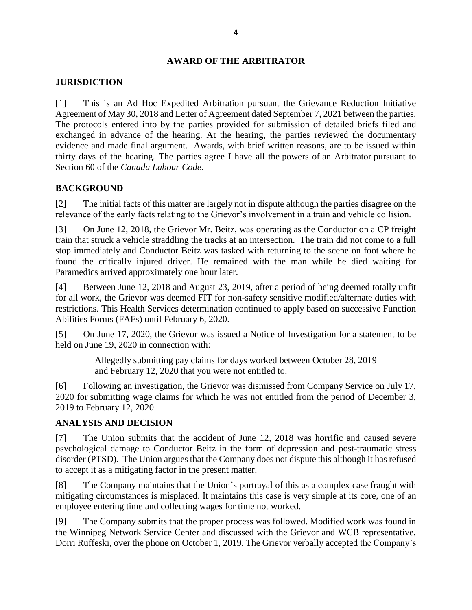## **AWARD OF THE ARBITRATOR**

#### **JURISDICTION**

[1] This is an Ad Hoc Expedited Arbitration pursuant the Grievance Reduction Initiative Agreement of May 30, 2018 and Letter of Agreement dated September 7, 2021 between the parties. The protocols entered into by the parties provided for submission of detailed briefs filed and exchanged in advance of the hearing. At the hearing, the parties reviewed the documentary evidence and made final argument. Awards, with brief written reasons, are to be issued within thirty days of the hearing. The parties agree I have all the powers of an Arbitrator pursuant to Section 60 of the *Canada Labour Code*.

# **BACKGROUND**

[2] The initial facts of this matter are largely not in dispute although the parties disagree on the relevance of the early facts relating to the Grievor's involvement in a train and vehicle collision.

[3] On June 12, 2018, the Grievor Mr. Beitz, was operating as the Conductor on a CP freight train that struck a vehicle straddling the tracks at an intersection. The train did not come to a full stop immediately and Conductor Beitz was tasked with returning to the scene on foot where he found the critically injured driver. He remained with the man while he died waiting for Paramedics arrived approximately one hour later.

[4] Between June 12, 2018 and August 23, 2019, after a period of being deemed totally unfit for all work, the Grievor was deemed FIT for non-safety sensitive modified/alternate duties with restrictions. This Health Services determination continued to apply based on successive Function Abilities Forms (FAFs) until February 6, 2020.

[5] On June 17, 2020, the Grievor was issued a Notice of Investigation for a statement to be held on June 19, 2020 in connection with:

> Allegedly submitting pay claims for days worked between October 28, 2019 and February 12, 2020 that you were not entitled to.

[6] Following an investigation, the Grievor was dismissed from Company Service on July 17, 2020 for submitting wage claims for which he was not entitled from the period of December 3, 2019 to February 12, 2020.

# **ANALYSIS AND DECISION**

[7] The Union submits that the accident of June 12, 2018 was horrific and caused severe psychological damage to Conductor Beitz in the form of depression and post-traumatic stress disorder (PTSD). The Union argues that the Company does not dispute this although it has refused to accept it as a mitigating factor in the present matter.

[8] The Company maintains that the Union's portrayal of this as a complex case fraught with mitigating circumstances is misplaced. It maintains this case is very simple at its core, one of an employee entering time and collecting wages for time not worked.

[9] The Company submits that the proper process was followed. Modified work was found in the Winnipeg Network Service Center and discussed with the Grievor and WCB representative, Dorri Ruffeski, over the phone on October 1, 2019. The Grievor verbally accepted the Company's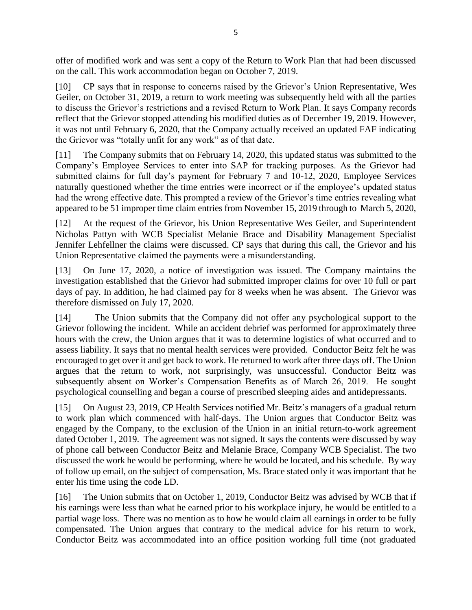offer of modified work and was sent a copy of the Return to Work Plan that had been discussed on the call. This work accommodation began on October 7, 2019.

[10] CP says that in response to concerns raised by the Grievor's Union Representative, Wes Geiler, on October 31, 2019, a return to work meeting was subsequently held with all the parties to discuss the Grievor's restrictions and a revised Return to Work Plan. It says Company records reflect that the Grievor stopped attending his modified duties as of December 19, 2019. However, it was not until February 6, 2020, that the Company actually received an updated FAF indicating the Grievor was "totally unfit for any work" as of that date.

[11] The Company submits that on February 14, 2020, this updated status was submitted to the Company's Employee Services to enter into SAP for tracking purposes. As the Grievor had submitted claims for full day's payment for February 7 and 10-12, 2020, Employee Services naturally questioned whether the time entries were incorrect or if the employee's updated status had the wrong effective date. This prompted a review of the Grievor's time entries revealing what appeared to be 51 improper time claim entries from November 15, 2019 through to March 5, 2020,

[12] At the request of the Grievor, his Union Representative Wes Geiler, and Superintendent Nicholas Pattyn with WCB Specialist Melanie Brace and Disability Management Specialist Jennifer Lehfellner the claims were discussed. CP says that during this call, the Grievor and his Union Representative claimed the payments were a misunderstanding.

[13] On June 17, 2020, a notice of investigation was issued. The Company maintains the investigation established that the Grievor had submitted improper claims for over 10 full or part days of pay. In addition, he had claimed pay for 8 weeks when he was absent. The Grievor was therefore dismissed on July 17, 2020.

[14] The Union submits that the Company did not offer any psychological support to the Grievor following the incident. While an accident debrief was performed for approximately three hours with the crew, the Union argues that it was to determine logistics of what occurred and to assess liability. It says that no mental health services were provided. Conductor Beitz felt he was encouraged to get over it and get back to work. He returned to work after three days off. The Union argues that the return to work, not surprisingly, was unsuccessful. Conductor Beitz was subsequently absent on Worker's Compensation Benefits as of March 26, 2019. He sought psychological counselling and began a course of prescribed sleeping aides and antidepressants.

[15] On August 23, 2019, CP Health Services notified Mr. Beitz's managers of a gradual return to work plan which commenced with half-days. The Union argues that Conductor Beitz was engaged by the Company, to the exclusion of the Union in an initial return-to-work agreement dated October 1, 2019. The agreement was not signed. It says the contents were discussed by way of phone call between Conductor Beitz and Melanie Brace, Company WCB Specialist. The two discussed the work he would be performing, where he would be located, and his schedule. By way of follow up email, on the subject of compensation, Ms. Brace stated only it was important that he enter his time using the code LD.

[16] The Union submits that on October 1, 2019, Conductor Beitz was advised by WCB that if his earnings were less than what he earned prior to his workplace injury, he would be entitled to a partial wage loss. There was no mention as to how he would claim all earnings in order to be fully compensated. The Union argues that contrary to the medical advice for his return to work, Conductor Beitz was accommodated into an office position working full time (not graduated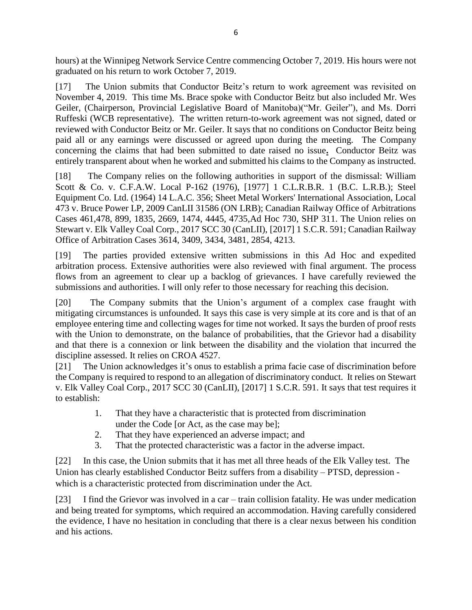hours) at the Winnipeg Network Service Centre commencing October 7, 2019. His hours were not graduated on his return to work October 7, 2019.

[17] The Union submits that Conductor Beitz's return to work agreement was revisited on November 4, 2019. This time Ms. Brace spoke with Conductor Beitz but also included Mr. Wes Geiler, (Chairperson, Provincial Legislative Board of Manitoba)("Mr. Geiler"), and Ms. Dorri Ruffeski (WCB representative). The written return-to-work agreement was not signed, dated or reviewed with Conductor Beitz or Mr. Geiler. It says that no conditions on Conductor Beitz being paid all or any earnings were discussed or agreed upon during the meeting. The Company concerning the claims that had been submitted to date raised no issue**.** Conductor Beitz was entirely transparent about when he worked and submitted his claims to the Company as instructed.

[18] The Company relies on the following authorities in support of the dismissal: William Scott & Co. v. C.F.A.W. Local P-162 (1976), [1977] 1 C.L.R.B.R. 1 (B.C. L.R.B.); Steel Equipment Co. Ltd. (1964) 14 L.A.C. 356; Sheet Metal Workers' International Association, Local 473 v. Bruce Power LP, 2009 CanLII 31586 (ON LRB); Canadian Railway Office of Arbitrations Cases 461,478, 899, 1835, 2669, 1474, 4445, 4735,Ad Hoc 730, SHP 311. The Union relies on Stewart v. Elk Valley Coal Corp., 2017 SCC 30 (CanLII), [2017] 1 S.C.R. 591; Canadian Railway Office of Arbitration Cases 3614, 3409, 3434, 3481, 2854, 4213.

[19] The parties provided extensive written submissions in this Ad Hoc and expedited arbitration process. Extensive authorities were also reviewed with final argument. The process flows from an agreement to clear up a backlog of grievances. I have carefully reviewed the submissions and authorities. I will only refer to those necessary for reaching this decision.

[20] The Company submits that the Union's argument of a complex case fraught with mitigating circumstances is unfounded. It says this case is very simple at its core and is that of an employee entering time and collecting wages for time not worked. It says the burden of proof rests with the Union to demonstrate, on the balance of probabilities, that the Grievor had a disability and that there is a connexion or link between the disability and the violation that incurred the discipline assessed. It relies on CROA 4527.

[21] The Union acknowledges it's onus to establish a prima facie case of discrimination before the Company is required to respond to an allegation of discriminatory conduct. It relies on Stewart v. Elk Valley Coal Corp., 2017 SCC 30 (CanLII), [2017] 1 S.C.R. 591. It says that test requires it to establish:

- 1. That they have a characteristic that is protected from discrimination under the Code [or Act, as the case may be];
- 2. That they have experienced an adverse impact; and
- 3. That the protected characteristic was a factor in the adverse impact.

[22] In this case, the Union submits that it has met all three heads of the Elk Valley test. The Union has clearly established Conductor Beitz suffers from a disability – PTSD, depression which is a characteristic protected from discrimination under the Act.

[23] I find the Grievor was involved in a car – train collision fatality. He was under medication and being treated for symptoms, which required an accommodation. Having carefully considered the evidence, I have no hesitation in concluding that there is a clear nexus between his condition and his actions.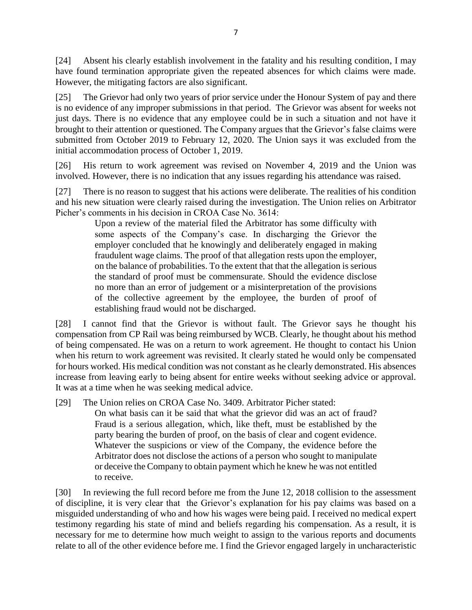[24] Absent his clearly establish involvement in the fatality and his resulting condition, I may have found termination appropriate given the repeated absences for which claims were made. However, the mitigating factors are also significant.

[25] The Grievor had only two years of prior service under the Honour System of pay and there is no evidence of any improper submissions in that period. The Grievor was absent for weeks not just days. There is no evidence that any employee could be in such a situation and not have it brought to their attention or questioned. The Company argues that the Grievor's false claims were submitted from October 2019 to February 12, 2020. The Union says it was excluded from the initial accommodation process of October 1, 2019.

[26] His return to work agreement was revised on November 4, 2019 and the Union was involved. However, there is no indication that any issues regarding his attendance was raised.

[27] There is no reason to suggest that his actions were deliberate. The realities of his condition and his new situation were clearly raised during the investigation. The Union relies on Arbitrator Picher's comments in his decision in CROA Case No. 3614:

Upon a review of the material filed the Arbitrator has some difficulty with some aspects of the Company's case. In discharging the Grievor the employer concluded that he knowingly and deliberately engaged in making fraudulent wage claims. The proof of that allegation rests upon the employer, on the balance of probabilities. To the extent that that the allegation is serious the standard of proof must be commensurate. Should the evidence disclose no more than an error of judgement or a misinterpretation of the provisions of the collective agreement by the employee, the burden of proof of establishing fraud would not be discharged.

[28] I cannot find that the Grievor is without fault. The Grievor says he thought his compensation from CP Rail was being reimbursed by WCB. Clearly, he thought about his method of being compensated. He was on a return to work agreement. He thought to contact his Union when his return to work agreement was revisited. It clearly stated he would only be compensated for hours worked. His medical condition was not constant as he clearly demonstrated. His absences increase from leaving early to being absent for entire weeks without seeking advice or approval. It was at a time when he was seeking medical advice.

[29] The Union relies on CROA Case No. 3409. Arbitrator Picher stated:

On what basis can it be said that what the grievor did was an act of fraud? Fraud is a serious allegation, which, like theft, must be established by the party bearing the burden of proof, on the basis of clear and cogent evidence. Whatever the suspicions or view of the Company, the evidence before the Arbitrator does not disclose the actions of a person who sought to manipulate or deceive the Company to obtain payment which he knew he was not entitled to receive.

[30] In reviewing the full record before me from the June 12, 2018 collision to the assessment of discipline, it is very clear that the Grievor's explanation for his pay claims was based on a misguided understanding of who and how his wages were being paid. I received no medical expert testimony regarding his state of mind and beliefs regarding his compensation. As a result, it is necessary for me to determine how much weight to assign to the various reports and documents relate to all of the other evidence before me. I find the Grievor engaged largely in uncharacteristic